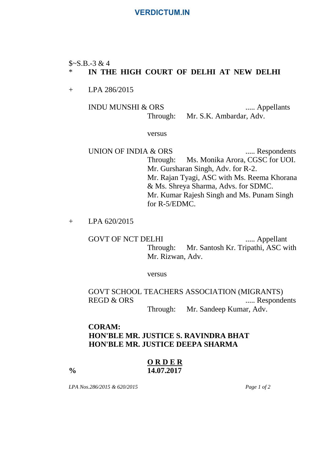#### **VERDICTUM.IN**

#### $$~S-S.B.-3 & 4$$

#### \* **IN THE HIGH COURT OF DELHI AT NEW DELHI**

+ LPA 286/2015

# INDU MUNSHI & ORS ..... Appellants

Through: Mr. S.K. Ambardar, Adv.

#### versus

UNION OF INDIA & ORS ...... Respondents Through: Ms. Monika Arora, CGSC for UOI. Mr. Gursharan Singh, Adv. for R-2. Mr. Rajan Tyagi, ASC with Ms. Reema Khorana & Ms. Shreya Sharma, Advs. for SDMC. Mr. Kumar Rajesh Singh and Ms. Punam Singh for R-5/EDMC.

+ LPA 620/2015

GOVT OF NCT DELHI ...... Appellant Through: Mr. Santosh Kr. Tripathi, ASC with Mr. Rizwan, Adv.

versus

GOVT SCHOOL TEACHERS ASSOCIATION (MIGRANTS) REGD & ORS ...... Respondents

Through: Mr. Sandeep Kumar, Adv.

## **CORAM: HON'BLE MR. JUSTICE S. RAVINDRA BHAT HON'BLE MR. JUSTICE DEEPA SHARMA**

#### **O R D E R % 14.07.2017**

*LPA Nos.286/2015 & 620/2015 Page 1 of 2*